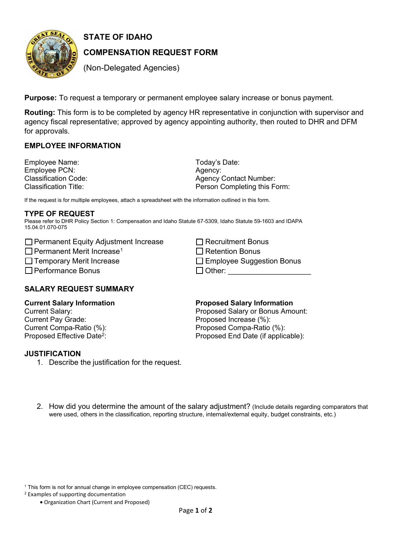

# **STATE OF IDAHO**

# **COMPENSATION REQUEST FORM**

(Non-Delegated Agencies)

**Purpose:** To request a temporary or permanent employee salary increase or bonus payment.

**Routing:** This form is to be completed by agency HR representative in conjunction with supervisor and agency fiscal representative; approved by agency appointing authority, then routed to DHR and DFM for approvals.

# **EMPLOYEE INFORMATION**

Employee Name: Employee PCN:<br>Classification Code: Classification Title:

Agency Contact Number: Today's Date: Agency: Person Completing this Form:

 $\Box$  Recruitment Bonus

If the request is for multiple employees, attach a spreadsheet with the information outlined in this form.

#### **TYPE OF REQUEST**

Please refer to DHR Policy Section 1: Compensation and Idaho Statute 67-5309, Idaho Statute 59-1603 and IDAPA 15.04.01.070-075

|  | □ Permanent Equity Adjustment Increase |  |
|--|----------------------------------------|--|
|  |                                        |  |

☐ Permanent Merit Increase1 ☐ Retention Bonus

☐ Temporary Merit Increase ☐ Employee Suggestion Bonus

☐ Performance Bonus ☐ Other: \_\_\_\_\_\_\_\_\_\_\_\_\_\_\_\_\_\_\_\_

| טשווטט טטו |      |   |  |       |                          |     |  |  |  |
|------------|------|---|--|-------|--------------------------|-----|--|--|--|
|            |      |   |  |       |                          |     |  |  |  |
|            |      |   |  |       |                          |     |  |  |  |
| - - - -    | ____ | _ |  | _____ | the property of the con- | ___ |  |  |  |

|  | <b>SALARY REQUEST SUMMARY</b> |
|--|-------------------------------|

# **Current Salary Information**

Current Salary: Current Pay Grade:

### **Proposed Salary Information**

Current Compa-Ratio (%):<br>
Proposed Effective Date<sup>2</sup>:<br>
Proposed End Date (if applic Proposed End Date (if applicable): Proposed Salary or Bonus Amount: Proposed Increase (%):

#### **JUSTIFICATION**

- 1. Describe the justification for the request.
- 2. How did you determine the amount of the salary adjustment? (Include details regarding comparators that were used, others in the classification, reporting structure, internal/external equity, budget constraints, etc.)

 $1$  This form is not for annual change in employee compensation (CEC) requests.

2 Examples of supporting documentation

• Organization Chart (Current and Proposed)